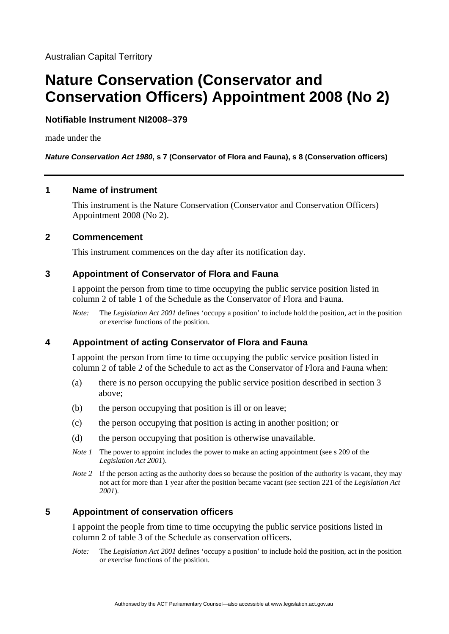# **Nature Conservation (Conservator and Conservation Officers) Appointment 2008 (No 2)**

## **Notifiable Instrument NI2008–379**

made under the

*Nature Conservation Act 1980***, s 7 (Conservator of Flora and Fauna), s 8 (Conservation officers)** 

### **1 Name of instrument**

This instrument is the Nature Conservation (Conservator and Conservation Officers) Appointment 2008 (No 2).

### **2 Commencement**

This instrument commences on the day after its notification day.

## **3 Appointment of Conservator of Flora and Fauna**

I appoint the person from time to time occupying the public service position listed in column 2 of table 1 of the Schedule as the Conservator of Flora and Fauna.

*Note:* The *Legislation Act 2001* defines 'occupy a position' to include hold the position, act in the position or exercise functions of the position.

## **4 Appointment of acting Conservator of Flora and Fauna**

I appoint the person from time to time occupying the public service position listed in column 2 of table 2 of the Schedule to act as the Conservator of Flora and Fauna when:

- (a) there is no person occupying the public service position described in section 3 above;
- (b) the person occupying that position is ill or on leave;
- (c) the person occupying that position is acting in another position; or
- (d) the person occupying that position is otherwise unavailable.
- *Note 1* The power to appoint includes the power to make an acting appointment (see s 209 of the *Legislation Act 2001*).
- *Note 2* If the person acting as the authority does so because the position of the authority is vacant, they may not act for more than 1 year after the position became vacant (see section 221 of the *Legislation Act 2001*).

## **5 Appointment of conservation officers**

I appoint the people from time to time occupying the public service positions listed in column 2 of table 3 of the Schedule as conservation officers.

*Note:* The *Legislation Act 2001* defines 'occupy a position' to include hold the position, act in the position or exercise functions of the position.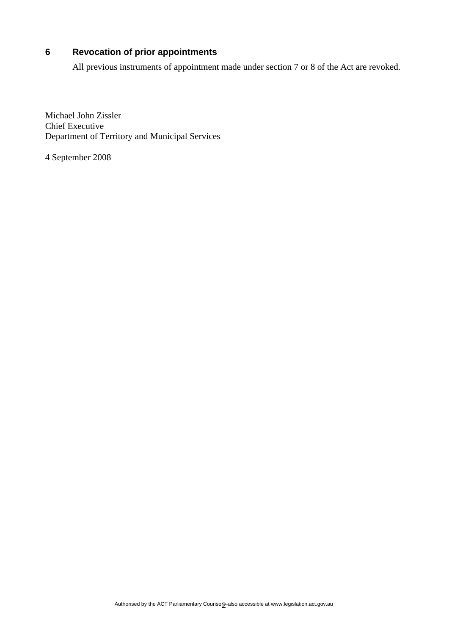## **6 Revocation of prior appointments**

All previous instruments of appointment made under section 7 or 8 of the Act are revoked.

Michael John Zissler Chief Executive Department of Territory and Municipal Services

4 September 2008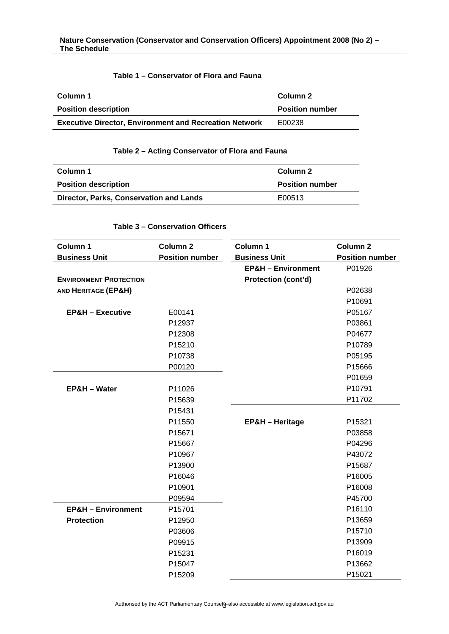### **Table 1 – Conservator of Flora and Fauna**

| Column 1                                                      | Column 2               |
|---------------------------------------------------------------|------------------------|
| <b>Position description</b>                                   | <b>Position number</b> |
| <b>Executive Director, Environment and Recreation Network</b> | E00238                 |

#### **Table 2 – Acting Conservator of Flora and Fauna**

| Column 1                                | Column 2               |
|-----------------------------------------|------------------------|
| <b>Position description</b>             | <b>Position number</b> |
| Director, Parks, Conservation and Lands | E00513                 |

#### **Table 3 – Conservation Officers**

| Column 1                      | Column <sub>2</sub>    | Column 1                      | Column <sub>2</sub>    |
|-------------------------------|------------------------|-------------------------------|------------------------|
| <b>Business Unit</b>          | <b>Position number</b> | <b>Business Unit</b>          | <b>Position number</b> |
|                               |                        | <b>EP&amp;H - Environment</b> | P01926                 |
| <b>ENVIRONMENT PROTECTION</b> |                        | Protection (cont'd)           |                        |
| AND HERITAGE (EP&H)           |                        |                               | P02638                 |
|                               |                        |                               | P10691                 |
| <b>EP&amp;H - Executive</b>   | E00141                 |                               | P05167                 |
|                               | P12937                 |                               | P03861                 |
|                               | P12308                 |                               | P04677                 |
|                               | P15210                 |                               | P10789                 |
|                               | P10738                 |                               | P05195                 |
|                               | P00120                 |                               | P15666                 |
|                               |                        |                               | P01659                 |
| EP&H - Water                  | P11026                 |                               | P10791                 |
|                               | P15639                 |                               | P11702                 |
|                               | P15431                 |                               |                        |
|                               | P11550                 | <b>EP&amp;H</b> - Heritage    | P15321                 |
|                               | P15671                 |                               | P03858                 |
|                               | P15667                 |                               | P04296                 |
|                               | P10967                 |                               | P43072                 |
|                               | P13900                 |                               | P15687                 |
|                               | P16046                 |                               | P16005                 |
|                               | P10901                 |                               | P16008                 |
|                               | P09594                 |                               | P45700                 |
| <b>EP&amp;H - Environment</b> | P15701                 |                               | P16110                 |
| <b>Protection</b>             | P12950                 |                               | P13659                 |
|                               | P03606                 |                               | P15710                 |
|                               | P09915                 |                               | P13909                 |
|                               | P15231                 |                               | P16019                 |
|                               | P15047                 |                               | P13662                 |
|                               | P15209                 |                               | P15021                 |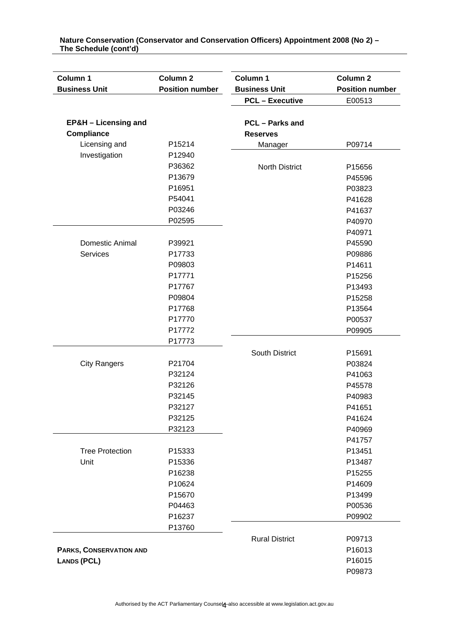| Column 1                        | Column <sub>2</sub>    | Column 1               | Column <sub>2</sub>    |
|---------------------------------|------------------------|------------------------|------------------------|
| <b>Business Unit</b>            | <b>Position number</b> | <b>Business Unit</b>   | <b>Position number</b> |
|                                 |                        | <b>PCL - Executive</b> | E00513                 |
|                                 |                        |                        |                        |
| <b>EP&amp;H - Licensing and</b> |                        | <b>PCL</b> – Parks and |                        |
| <b>Compliance</b>               |                        | <b>Reserves</b>        |                        |
| Licensing and                   | P15214                 | Manager                | P09714                 |
| Investigation                   | P12940                 |                        |                        |
|                                 | P36362                 | <b>North District</b>  | P15656                 |
|                                 | P13679                 |                        | P45596                 |
|                                 | P16951                 |                        | P03823                 |
|                                 | P54041                 |                        | P41628                 |
|                                 | P03246                 |                        | P41637                 |
|                                 | P02595                 |                        | P40970                 |
|                                 |                        |                        | P40971                 |
| Domestic Animal                 | P39921                 |                        | P45590                 |
| <b>Services</b>                 | P17733                 |                        | P09886                 |
|                                 | P09803                 |                        | P14611                 |
|                                 | P17771                 |                        | P15256                 |
|                                 | P17767                 |                        | P13493                 |
|                                 | P09804                 |                        | P15258                 |
|                                 | P17768                 |                        | P13564                 |
|                                 | P17770                 |                        | P00537                 |
|                                 | P17772                 |                        | P09905                 |
|                                 | P17773                 |                        |                        |
|                                 |                        | South District         | P15691                 |
| <b>City Rangers</b>             | P21704                 |                        | P03824                 |
|                                 | P32124                 |                        | P41063                 |
|                                 | P32126                 |                        | P45578                 |
|                                 | P32145                 |                        | P40983                 |
|                                 | P32127                 |                        | P41651                 |
|                                 | P32125                 |                        | P41624                 |
|                                 | P32123                 |                        | P40969                 |
|                                 |                        |                        | P41757                 |
| <b>Tree Protection</b>          | P15333                 |                        | P13451                 |
| Unit                            | P15336                 |                        | P13487                 |
|                                 | P16238                 |                        | P15255                 |
|                                 | P10624                 |                        | P14609                 |
|                                 | P15670                 |                        | P13499                 |
|                                 | P04463                 |                        | P00536                 |
|                                 | P16237                 |                        | P09902                 |
|                                 | P13760                 |                        |                        |
|                                 |                        | <b>Rural District</b>  | P09713                 |
| <b>PARKS, CONSERVATION AND</b>  |                        |                        | P16013                 |
| <b>LANDS (PCL)</b>              |                        |                        | P16015                 |
|                                 |                        |                        | P09873                 |